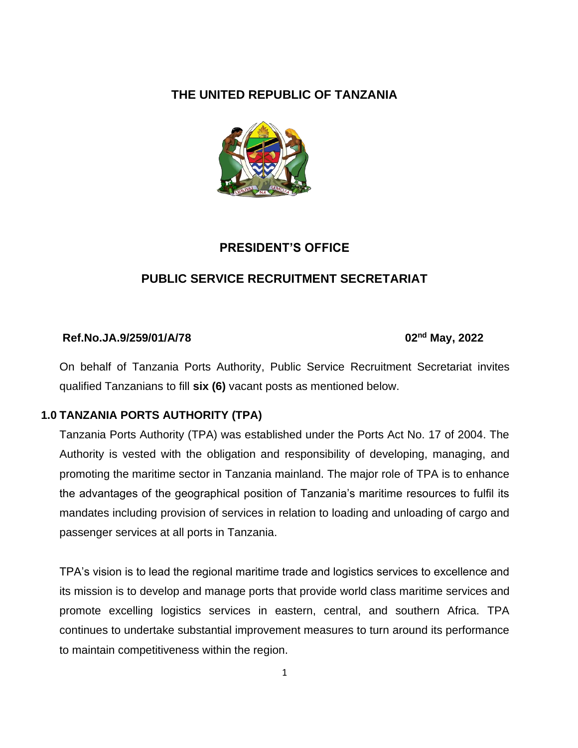## **THE UNITED REPUBLIC OF TANZANIA**



## **PRESIDENT'S OFFICE**

## **PUBLIC SERVICE RECRUITMENT SECRETARIAT**

#### **Ref.No.JA.9/259/01/A/78 02nd May, 2022**

On behalf of Tanzania Ports Authority, Public Service Recruitment Secretariat invites qualified Tanzanians to fill **six (6)** vacant posts as mentioned below.

#### **1.0 TANZANIA PORTS AUTHORITY (TPA)**

Tanzania Ports Authority (TPA) was established under the Ports Act No. 17 of 2004. The Authority is vested with the obligation and responsibility of developing, managing, and promoting the maritime sector in Tanzania mainland. The major role of TPA is to enhance the advantages of the geographical position of Tanzania's maritime resources to fulfil its mandates including provision of services in relation to loading and unloading of cargo and passenger services at all ports in Tanzania.

TPA's vision is to lead the regional maritime trade and logistics services to excellence and its mission is to develop and manage ports that provide world class maritime services and promote excelling logistics services in eastern, central, and southern Africa. TPA continues to undertake substantial improvement measures to turn around its performance to maintain competitiveness within the region.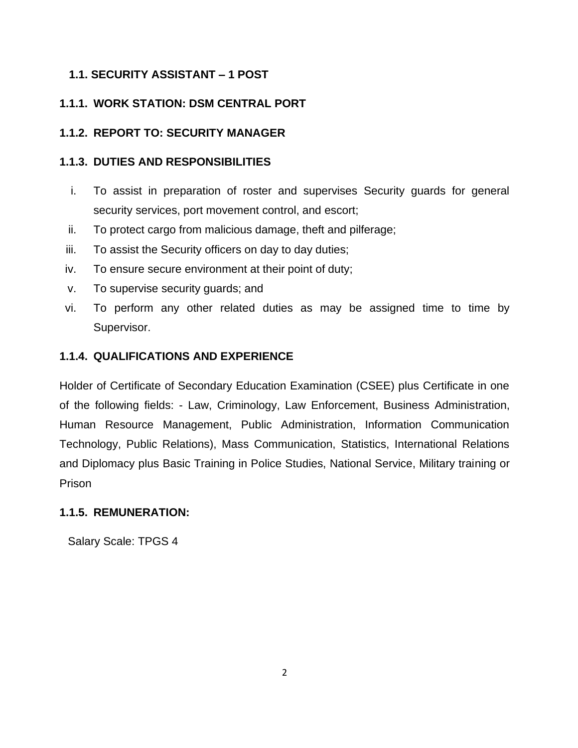## **1.1. SECURITY ASSISTANT – 1 POST**

## **1.1.1. WORK STATION: DSM CENTRAL PORT**

## **1.1.2. REPORT TO: SECURITY MANAGER**

## **1.1.3. DUTIES AND RESPONSIBILITIES**

- i. To assist in preparation of roster and supervises Security guards for general security services, port movement control, and escort;
- ii. To protect cargo from malicious damage, theft and pilferage;
- iii. To assist the Security officers on day to day duties;
- iv. To ensure secure environment at their point of duty;
- v. To supervise security guards; and
- vi. To perform any other related duties as may be assigned time to time by Supervisor.

## **1.1.4. QUALIFICATIONS AND EXPERIENCE**

Holder of Certificate of Secondary Education Examination (CSEE) plus Certificate in one of the following fields: - Law, Criminology, Law Enforcement, Business Administration, Human Resource Management, Public Administration, Information Communication Technology, Public Relations), Mass Communication, Statistics, International Relations and Diplomacy plus Basic Training in Police Studies, National Service, Military training or Prison

## **1.1.5. REMUNERATION:**

Salary Scale: TPGS 4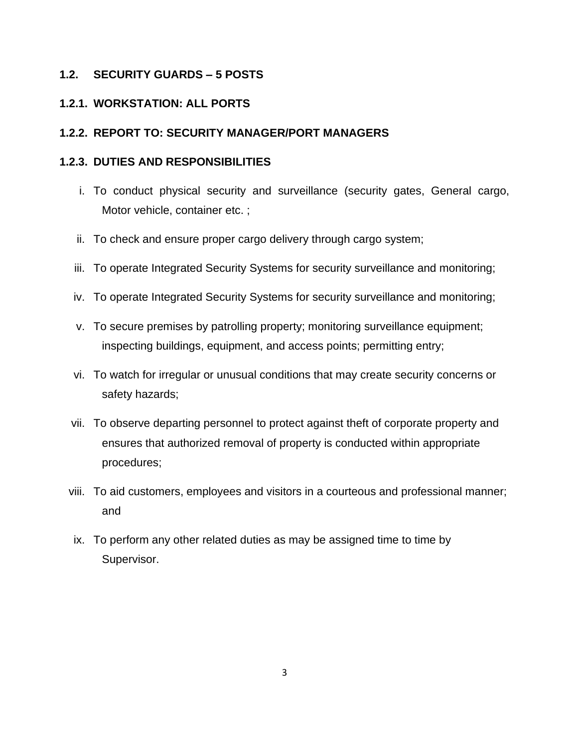#### **1.2. SECURITY GUARDS – 5 POSTS**

## **1.2.1. WORKSTATION: ALL PORTS**

### **1.2.2. REPORT TO: SECURITY MANAGER/PORT MANAGERS**

#### **1.2.3. DUTIES AND RESPONSIBILITIES**

- i. To conduct physical security and surveillance (security gates, General cargo, Motor vehicle, container etc. ;
- ii. To check and ensure proper cargo delivery through cargo system;
- iii. To operate Integrated Security Systems for security surveillance and monitoring;
- iv. To operate Integrated Security Systems for security surveillance and monitoring;
- v. To secure premises by patrolling property; monitoring surveillance equipment; inspecting buildings, equipment, and access points; permitting entry;
- vi. To watch for irregular or unusual conditions that may create security concerns or safety hazards;
- vii. To observe departing personnel to protect against theft of corporate property and ensures that authorized removal of property is conducted within appropriate procedures;
- viii. To aid customers, employees and visitors in a courteous and professional manner; and
- ix. To perform any other related duties as may be assigned time to time by Supervisor.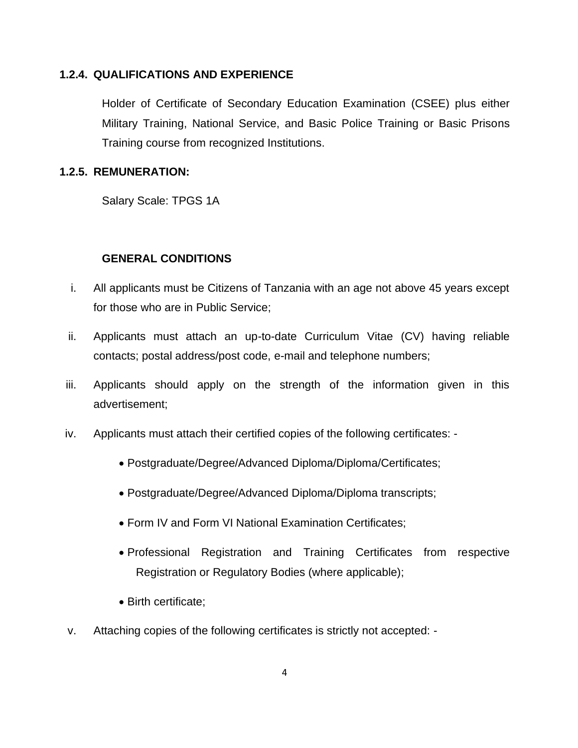#### **1.2.4. QUALIFICATIONS AND EXPERIENCE**

Holder of Certificate of Secondary Education Examination (CSEE) plus either Military Training, National Service, and Basic Police Training or Basic Prisons Training course from recognized Institutions.

#### **1.2.5. REMUNERATION:**

Salary Scale: TPGS 1A

#### **GENERAL CONDITIONS**

- i. All applicants must be Citizens of Tanzania with an age not above 45 years except for those who are in Public Service;
- ii. Applicants must attach an up-to-date Curriculum Vitae (CV) having reliable contacts; postal address/post code, e-mail and telephone numbers;
- iii. Applicants should apply on the strength of the information given in this advertisement;
- iv. Applicants must attach their certified copies of the following certificates:
	- Postgraduate/Degree/Advanced Diploma/Diploma/Certificates;
	- Postgraduate/Degree/Advanced Diploma/Diploma transcripts;
	- Form IV and Form VI National Examination Certificates;
	- Professional Registration and Training Certificates from respective Registration or Regulatory Bodies (where applicable);
	- Birth certificate;
- v. Attaching copies of the following certificates is strictly not accepted: -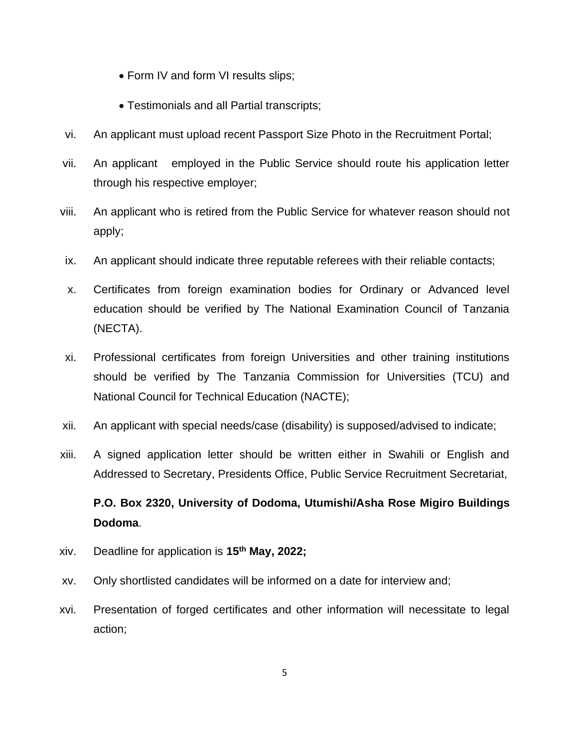- Form IV and form VI results slips;
- Testimonials and all Partial transcripts;
- vi. An applicant must upload recent Passport Size Photo in the Recruitment Portal;
- vii. An applicant employed in the Public Service should route his application letter through his respective employer;
- viii. An applicant who is retired from the Public Service for whatever reason should not apply;
- ix. An applicant should indicate three reputable referees with their reliable contacts;
- x. Certificates from foreign examination bodies for Ordinary or Advanced level education should be verified by The National Examination Council of Tanzania (NECTA).
- xi. Professional certificates from foreign Universities and other training institutions should be verified by The Tanzania Commission for Universities (TCU) and National Council for Technical Education (NACTE);
- xii. An applicant with special needs/case (disability) is supposed/advised to indicate;
- xiii. A signed application letter should be written either in Swahili or English and Addressed to Secretary, Presidents Office, Public Service Recruitment Secretariat,

# **P.O. Box 2320, University of Dodoma, Utumishi/Asha Rose Migiro Buildings Dodoma**.

- xiv. Deadline for application is **15 th May, 2022;**
- xv. Only shortlisted candidates will be informed on a date for interview and;
- xvi. Presentation of forged certificates and other information will necessitate to legal action;